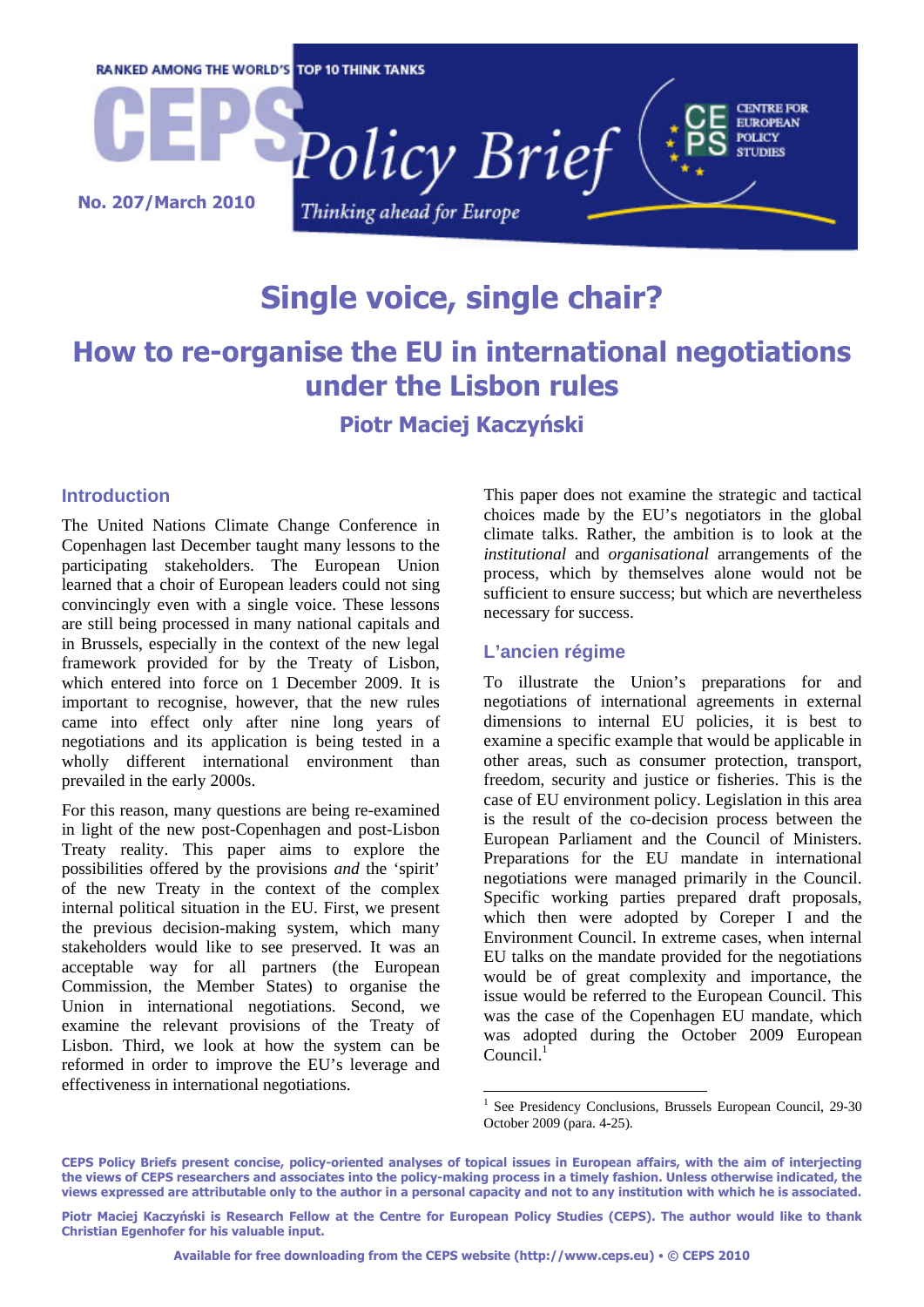

# **Single voice, single chair?**

# **How to re-organise the EU in international negotiations under the Lisbon rules**

**Piotr Maciej Kaczyński** 

#### **Introduction**

The United Nations Climate Change Conference in Copenhagen last December taught many lessons to the participating stakeholders. The European Union learned that a choir of European leaders could not sing convincingly even with a single voice. These lessons are still being processed in many national capitals and in Brussels, especially in the context of the new legal framework provided for by the Treaty of Lisbon, which entered into force on 1 December 2009. It is important to recognise, however, that the new rules came into effect only after nine long years of negotiations and its application is being tested in a wholly different international environment than prevailed in the early 2000s.

For this reason, many questions are being re-examined in light of the new post-Copenhagen and post-Lisbon Treaty reality. This paper aims to explore the possibilities offered by the provisions *and* the 'spirit' of the new Treaty in the context of the complex internal political situation in the EU. First, we present the previous decision-making system, which many stakeholders would like to see preserved. It was an acceptable way for all partners (the European Commission, the Member States) to organise the Union in international negotiations. Second, we examine the relevant provisions of the Treaty of Lisbon. Third, we look at how the system can be reformed in order to improve the EU's leverage and effectiveness in international negotiations.

This paper does not examine the strategic and tactical choices made by the EU's negotiators in the global climate talks. Rather, the ambition is to look at the *institutional* and *organisational* arrangements of the process, which by themselves alone would not be sufficient to ensure success; but which are nevertheless necessary for success.

#### **L'ancien régime**

To illustrate the Union's preparations for and negotiations of international agreements in external dimensions to internal EU policies, it is best to examine a specific example that would be applicable in other areas, such as consumer protection, transport, freedom, security and justice or fisheries. This is the case of EU environment policy. Legislation in this area is the result of the co-decision process between the European Parliament and the Council of Ministers. Preparations for the EU mandate in international negotiations were managed primarily in the Council. Specific working parties prepared draft proposals, which then were adopted by Coreper I and the Environment Council. In extreme cases, when internal EU talks on the mandate provided for the negotiations would be of great complexity and importance, the issue would be referred to the European Council. This was the case of the Copenhagen EU mandate, which was adopted during the October 2009 European  $Count<sup>1</sup>$ 

 1 See Presidency Conclusions, Brussels European Council, 29-30 October 2009 (para. 4-25).

**CEPS Policy Briefs present concise, policy-oriented analyses of topical issues in European affairs, with the aim of interjecting the views of CEPS researchers and associates into the policy-making process in a timely fashion. Unless otherwise indicated, the views expressed are attributable only to the author in a personal capacity and not to any institution with which he is associated.** 

**Piotr Maciej Kaczyński is Research Fellow at the Centre for European Policy Studies (CEPS). The author would like to thank Christian Egenhofer for his valuable input.**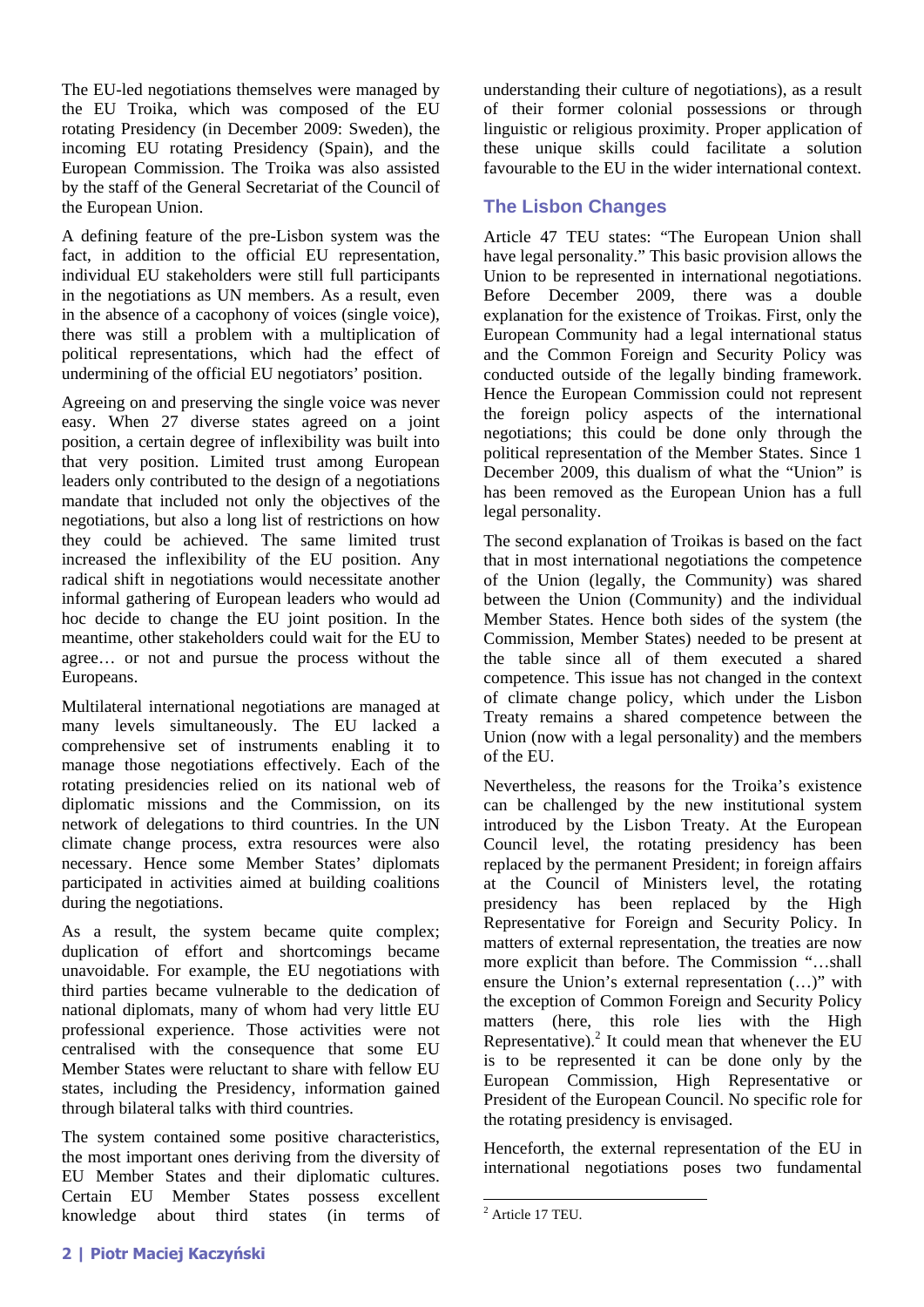The EU-led negotiations themselves were managed by the EU Troika, which was composed of the EU rotating Presidency (in December 2009: Sweden), the incoming EU rotating Presidency (Spain), and the European Commission. The Troika was also assisted by the staff of the General Secretariat of the Council of the European Union.

A defining feature of the pre-Lisbon system was the fact, in addition to the official EU representation, individual EU stakeholders were still full participants in the negotiations as UN members. As a result, even in the absence of a cacophony of voices (single voice), there was still a problem with a multiplication of political representations, which had the effect of undermining of the official EU negotiators' position.

Agreeing on and preserving the single voice was never easy. When 27 diverse states agreed on a joint position, a certain degree of inflexibility was built into that very position. Limited trust among European leaders only contributed to the design of a negotiations mandate that included not only the objectives of the negotiations, but also a long list of restrictions on how they could be achieved. The same limited trust increased the inflexibility of the EU position. Any radical shift in negotiations would necessitate another informal gathering of European leaders who would ad hoc decide to change the EU joint position. In the meantime, other stakeholders could wait for the EU to agree… or not and pursue the process without the Europeans.

Multilateral international negotiations are managed at many levels simultaneously. The EU lacked a comprehensive set of instruments enabling it to manage those negotiations effectively. Each of the rotating presidencies relied on its national web of diplomatic missions and the Commission, on its network of delegations to third countries. In the UN climate change process, extra resources were also necessary. Hence some Member States' diplomats participated in activities aimed at building coalitions during the negotiations.

As a result, the system became quite complex; duplication of effort and shortcomings became unavoidable. For example, the EU negotiations with third parties became vulnerable to the dedication of national diplomats, many of whom had very little EU professional experience. Those activities were not centralised with the consequence that some EU Member States were reluctant to share with fellow EU states, including the Presidency, information gained through bilateral talks with third countries.

The system contained some positive characteristics, the most important ones deriving from the diversity of EU Member States and their diplomatic cultures. Certain EU Member States possess excellent knowledge about third states (in terms of understanding their culture of negotiations), as a result of their former colonial possessions or through linguistic or religious proximity. Proper application of these unique skills could facilitate a solution favourable to the EU in the wider international context.

## **The Lisbon Changes**

Article 47 TEU states: "The European Union shall have legal personality." This basic provision allows the Union to be represented in international negotiations. Before December 2009, there was a double explanation for the existence of Troikas. First, only the European Community had a legal international status and the Common Foreign and Security Policy was conducted outside of the legally binding framework. Hence the European Commission could not represent the foreign policy aspects of the international negotiations; this could be done only through the political representation of the Member States. Since 1 December 2009, this dualism of what the "Union" is has been removed as the European Union has a full legal personality.

The second explanation of Troikas is based on the fact that in most international negotiations the competence of the Union (legally, the Community) was shared between the Union (Community) and the individual Member States. Hence both sides of the system (the Commission, Member States) needed to be present at the table since all of them executed a shared competence. This issue has not changed in the context of climate change policy, which under the Lisbon Treaty remains a shared competence between the Union (now with a legal personality) and the members of the EU.

Nevertheless, the reasons for the Troika's existence can be challenged by the new institutional system introduced by the Lisbon Treaty. At the European Council level, the rotating presidency has been replaced by the permanent President; in foreign affairs at the Council of Ministers level, the rotating presidency has been replaced by the High Representative for Foreign and Security Policy. In matters of external representation, the treaties are now more explicit than before. The Commission "…shall ensure the Union's external representation (…)" with the exception of Common Foreign and Security Policy matters (here, this role lies with the High Representative). $^{2}$  It could mean that whenever the EU is to be represented it can be done only by the European Commission, High Representative or President of the European Council. No specific role for the rotating presidency is envisaged.

Henceforth, the external representation of the EU in international negotiations poses two fundamental

<sup>&</sup>lt;sup>2</sup> Article 17 TEU.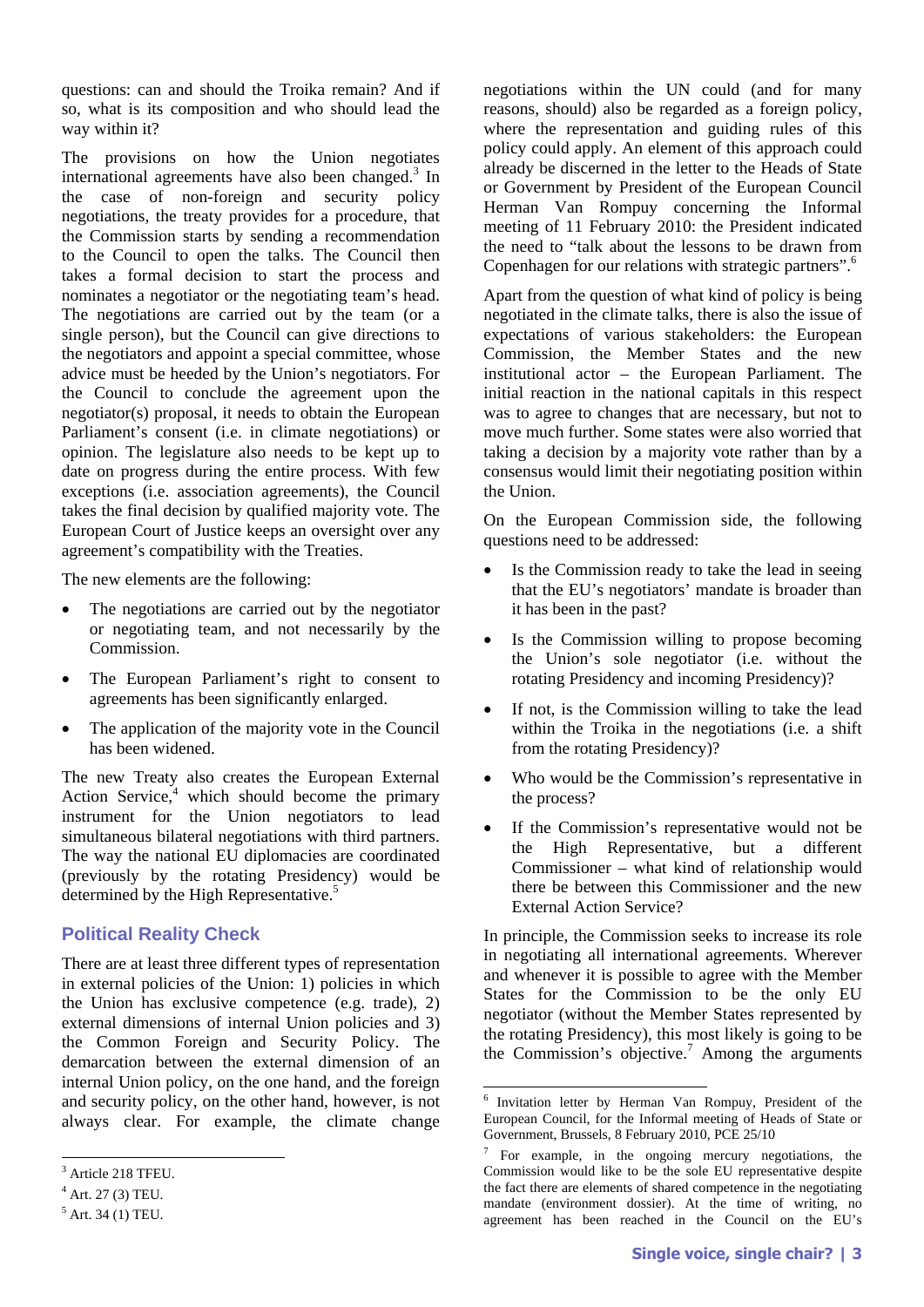questions: can and should the Troika remain? And if so, what is its composition and who should lead the way within it?

The provisions on how the Union negotiates international agreements have also been changed.<sup>3</sup> In the case of non-foreign and security policy negotiations, the treaty provides for a procedure, that the Commission starts by sending a recommendation to the Council to open the talks. The Council then takes a formal decision to start the process and nominates a negotiator or the negotiating team's head. The negotiations are carried out by the team (or a single person), but the Council can give directions to the negotiators and appoint a special committee, whose advice must be heeded by the Union's negotiators. For the Council to conclude the agreement upon the negotiator(s) proposal, it needs to obtain the European Parliament's consent (i.e. in climate negotiations) or opinion. The legislature also needs to be kept up to date on progress during the entire process. With few exceptions (i.e. association agreements), the Council takes the final decision by qualified majority vote. The European Court of Justice keeps an oversight over any agreement's compatibility with the Treaties.

The new elements are the following:

- The negotiations are carried out by the negotiator or negotiating team, and not necessarily by the Commission.
- The European Parliament's right to consent to agreements has been significantly enlarged.
- The application of the majority vote in the Council has been widened.

The new Treaty also creates the European External Action Service, $4$  which should become the primary instrument for the Union negotiators to lead simultaneous bilateral negotiations with third partners. The way the national EU diplomacies are coordinated (previously by the rotating Presidency) would be determined by the High Representative.<sup>5</sup>

#### **Political Reality Check**

There are at least three different types of representation in external policies of the Union: 1) policies in which the Union has exclusive competence (e.g. trade), 2) external dimensions of internal Union policies and 3) the Common Foreign and Security Policy. The demarcation between the external dimension of an internal Union policy, on the one hand, and the foreign and security policy, on the other hand, however, is not always clear. For example, the climate change negotiations within the UN could (and for many reasons, should) also be regarded as a foreign policy, where the representation and guiding rules of this policy could apply. An element of this approach could already be discerned in the letter to the Heads of State or Government by President of the European Council Herman Van Rompuy concerning the Informal meeting of 11 February 2010: the President indicated the need to "talk about the lessons to be drawn from Copenhagen for our relations with strategic partners".<sup>6</sup>

Apart from the question of what kind of policy is being negotiated in the climate talks, there is also the issue of expectations of various stakeholders: the European Commission, the Member States and the new institutional actor – the European Parliament. The initial reaction in the national capitals in this respect was to agree to changes that are necessary, but not to move much further. Some states were also worried that taking a decision by a majority vote rather than by a consensus would limit their negotiating position within the Union.

On the European Commission side, the following questions need to be addressed:

- Is the Commission ready to take the lead in seeing that the EU's negotiators' mandate is broader than it has been in the past?
- Is the Commission willing to propose becoming the Union's sole negotiator (i.e. without the rotating Presidency and incoming Presidency)?
- If not, is the Commission willing to take the lead within the Troika in the negotiations (i.e. a shift from the rotating Presidency)?
- Who would be the Commission's representative in the process?
- If the Commission's representative would not be the High Representative, but a different Commissioner – what kind of relationship would there be between this Commissioner and the new External Action Service?

In principle, the Commission seeks to increase its role in negotiating all international agreements. Wherever and whenever it is possible to agree with the Member States for the Commission to be the only EU negotiator (without the Member States represented by the rotating Presidency), this most likely is going to be the Commission's objective.<sup>7</sup> Among the arguments

1

<sup>&</sup>lt;sup>3</sup> Article 218 TFEU.

<sup>4</sup> Art. 27 (3) TEU.

 $<sup>5</sup>$  Art. 34 (1) TEU.</sup>

<sup>6</sup> Invitation letter by Herman Van Rompuy, President of the European Council, for the Informal meeting of Heads of State or Government, Brussels, 8 February 2010, PCE 25/10

 $\frac{7}{7}$  For example, in the ongoing mercury negotiations, the Commission would like to be the sole EU representative despite the fact there are elements of shared competence in the negotiating mandate (environment dossier). At the time of writing, no agreement has been reached in the Council on the EU's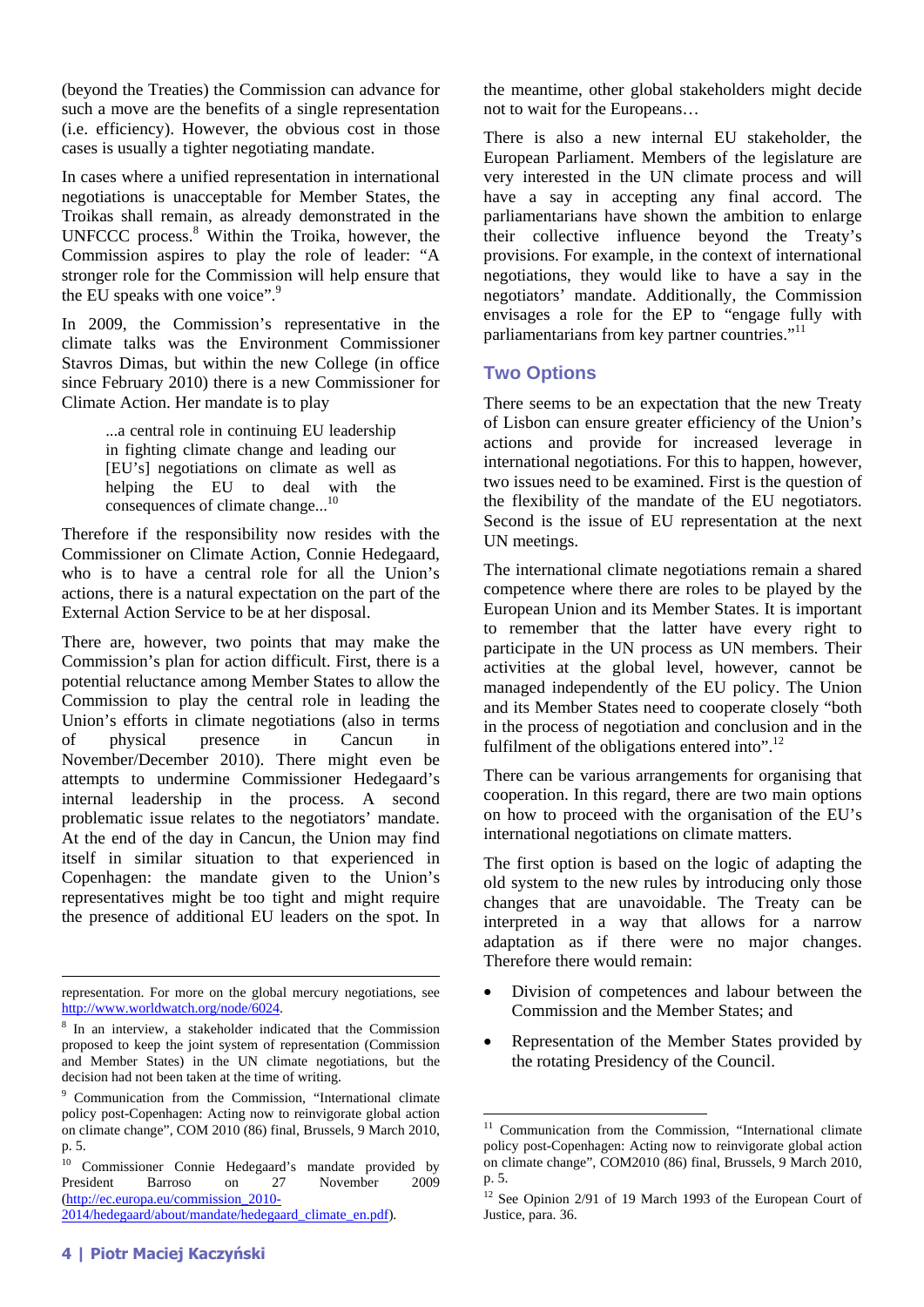(beyond the Treaties) the Commission can advance for such a move are the benefits of a single representation (i.e. efficiency). However, the obvious cost in those cases is usually a tighter negotiating mandate.

In cases where a unified representation in international negotiations is unacceptable for Member States, the Troikas shall remain, as already demonstrated in the UNFCCC process.<sup>8</sup> Within the Troika, however, the Commission aspires to play the role of leader: "A stronger role for the Commission will help ensure that the EU speaks with one voice".<sup>9</sup>

In 2009, the Commission's representative in the climate talks was the Environment Commissioner Stavros Dimas, but within the new College (in office since February 2010) there is a new Commissioner for Climate Action. Her mandate is to play

> ...a central role in continuing EU leadership in fighting climate change and leading our [EU's] negotiations on climate as well as helping the EU to deal with the consequences of climate change...<sup>10</sup>

Therefore if the responsibility now resides with the Commissioner on Climate Action, Connie Hedegaard, who is to have a central role for all the Union's actions, there is a natural expectation on the part of the External Action Service to be at her disposal.

There are, however, two points that may make the Commission's plan for action difficult. First, there is a potential reluctance among Member States to allow the Commission to play the central role in leading the Union's efforts in climate negotiations (also in terms of physical presence in Cancun in November/December 2010). There might even be attempts to undermine Commissioner Hedegaard's internal leadership in the process. A second problematic issue relates to the negotiators' mandate. At the end of the day in Cancun, the Union may find itself in similar situation to that experienced in Copenhagen: the mandate given to the Union's representatives might be too tight and might require the presence of additional EU leaders on the spot. In

2014/hedegaard/about/mandate/hedegaard\_climate\_en.pdf).

the meantime, other global stakeholders might decide not to wait for the Europeans…

There is also a new internal EU stakeholder, the European Parliament. Members of the legislature are very interested in the UN climate process and will have a say in accepting any final accord. The parliamentarians have shown the ambition to enlarge their collective influence beyond the Treaty's provisions. For example, in the context of international negotiations, they would like to have a say in the negotiators' mandate. Additionally, the Commission envisages a role for the EP to "engage fully with parliamentarians from key partner countries."<sup>11</sup>

#### **Two Options**

There seems to be an expectation that the new Treaty of Lisbon can ensure greater efficiency of the Union's actions and provide for increased leverage in international negotiations. For this to happen, however, two issues need to be examined. First is the question of the flexibility of the mandate of the EU negotiators. Second is the issue of EU representation at the next UN meetings.

The international climate negotiations remain a shared competence where there are roles to be played by the European Union and its Member States. It is important to remember that the latter have every right to participate in the UN process as UN members. Their activities at the global level, however, cannot be managed independently of the EU policy. The Union and its Member States need to cooperate closely "both in the process of negotiation and conclusion and in the fulfilment of the obligations entered into".<sup>12</sup>

There can be various arrangements for organising that cooperation. In this regard, there are two main options on how to proceed with the organisation of the EU's international negotiations on climate matters.

The first option is based on the logic of adapting the old system to the new rules by introducing only those changes that are unavoidable. The Treaty can be interpreted in a way that allows for a narrow adaptation as if there were no major changes. Therefore there would remain:

- Division of competences and labour between the Commission and the Member States; and
- Representation of the Member States provided by the rotating Presidency of the Council.

1

representation. For more on the global mercury negotiations, see http://www.worldwatch.org/node/6024.

<sup>8</sup> In an interview, a stakeholder indicated that the Commission proposed to keep the joint system of representation (Commission and Member States) in the UN climate negotiations, but the decision had not been taken at the time of writing.

<sup>&</sup>lt;sup>9</sup> Communication from the Commission, "International climate policy post-Copenhagen: Acting now to reinvigorate global action on climate change", COM 2010 (86) final, Brussels, 9 March 2010, p. 5.

<sup>10</sup> Commissioner Connie Hedegaard's mandate provided by President Barroso on 27 November 2009 (http://ec.europa.eu/commission\_2010-

 $11$ Communication from the Commission, "International climate policy post-Copenhagen: Acting now to reinvigorate global action on climate change", COM2010 (86) final, Brussels, 9 March 2010, p. 5.

<sup>&</sup>lt;sup>12</sup> See Opinion 2/91 of 19 March 1993 of the European Court of Justice, para. 36.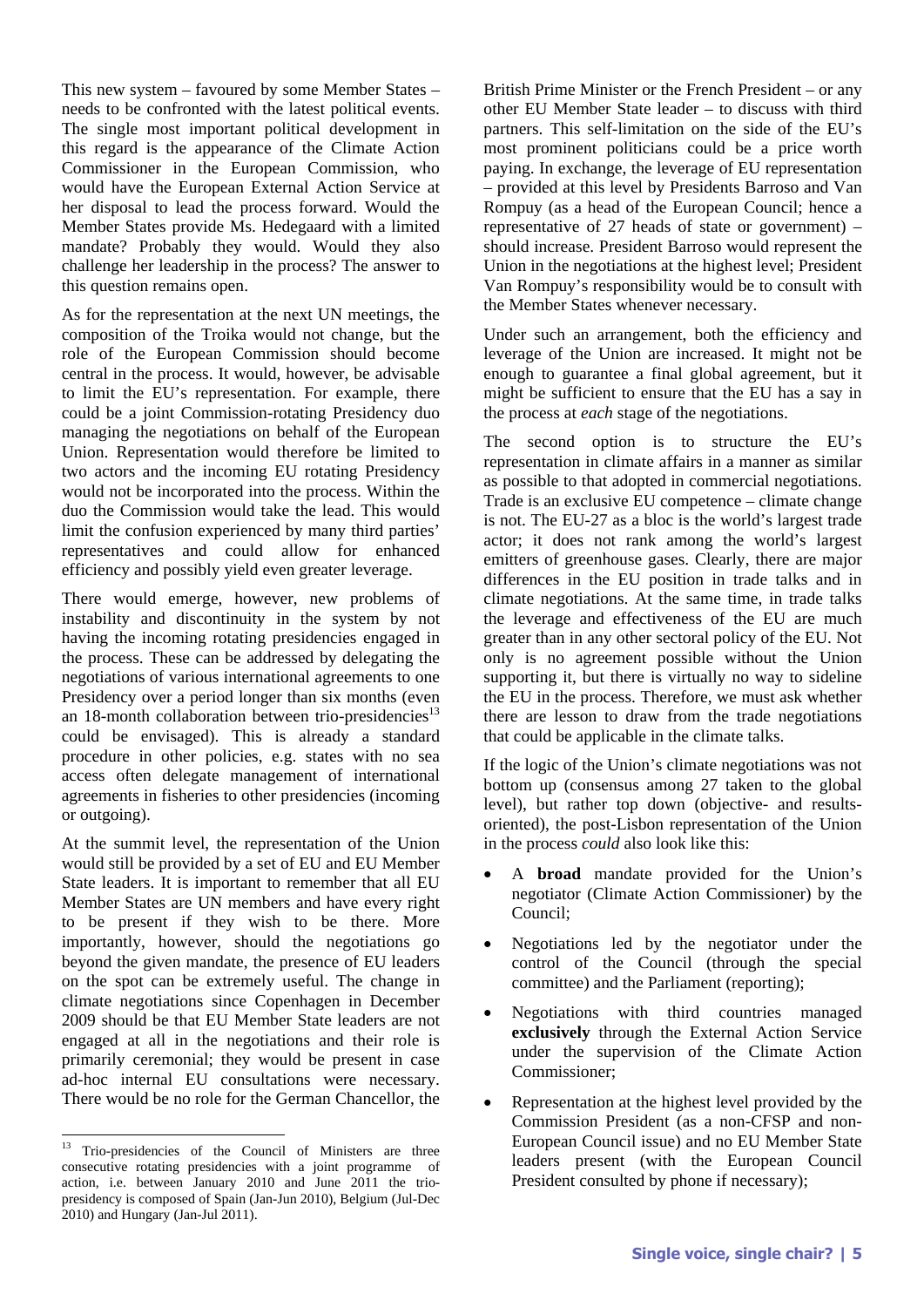This new system – favoured by some Member States – needs to be confronted with the latest political events. The single most important political development in this regard is the appearance of the Climate Action Commissioner in the European Commission, who would have the European External Action Service at her disposal to lead the process forward. Would the Member States provide Ms. Hedegaard with a limited mandate? Probably they would. Would they also challenge her leadership in the process? The answer to this question remains open.

As for the representation at the next UN meetings, the composition of the Troika would not change, but the role of the European Commission should become central in the process. It would, however, be advisable to limit the EU's representation. For example, there could be a joint Commission-rotating Presidency duo managing the negotiations on behalf of the European Union. Representation would therefore be limited to two actors and the incoming EU rotating Presidency would not be incorporated into the process. Within the duo the Commission would take the lead. This would limit the confusion experienced by many third parties' representatives and could allow for enhanced efficiency and possibly yield even greater leverage.

There would emerge, however, new problems of instability and discontinuity in the system by not having the incoming rotating presidencies engaged in the process. These can be addressed by delegating the negotiations of various international agreements to one Presidency over a period longer than six months (even an 18-month collaboration between trio-presidencies $13$ could be envisaged). This is already a standard procedure in other policies, e.g. states with no sea access often delegate management of international agreements in fisheries to other presidencies (incoming or outgoing).

At the summit level, the representation of the Union would still be provided by a set of EU and EU Member State leaders. It is important to remember that all EU Member States are UN members and have every right to be present if they wish to be there. More importantly, however, should the negotiations go beyond the given mandate, the presence of EU leaders on the spot can be extremely useful. The change in climate negotiations since Copenhagen in December 2009 should be that EU Member State leaders are not engaged at all in the negotiations and their role is primarily ceremonial; they would be present in case ad-hoc internal EU consultations were necessary. There would be no role for the German Chancellor, the

1

British Prime Minister or the French President – or any other EU Member State leader – to discuss with third partners. This self-limitation on the side of the EU's most prominent politicians could be a price worth paying. In exchange, the leverage of EU representation – provided at this level by Presidents Barroso and Van Rompuy (as a head of the European Council; hence a representative of 27 heads of state or government) – should increase. President Barroso would represent the Union in the negotiations at the highest level; President Van Rompuy's responsibility would be to consult with the Member States whenever necessary.

Under such an arrangement, both the efficiency and leverage of the Union are increased. It might not be enough to guarantee a final global agreement, but it might be sufficient to ensure that the EU has a say in the process at *each* stage of the negotiations.

The second option is to structure the EU's representation in climate affairs in a manner as similar as possible to that adopted in commercial negotiations. Trade is an exclusive EU competence – climate change is not. The EU-27 as a bloc is the world's largest trade actor; it does not rank among the world's largest emitters of greenhouse gases. Clearly, there are major differences in the EU position in trade talks and in climate negotiations. At the same time, in trade talks the leverage and effectiveness of the EU are much greater than in any other sectoral policy of the EU. Not only is no agreement possible without the Union supporting it, but there is virtually no way to sideline the EU in the process. Therefore, we must ask whether there are lesson to draw from the trade negotiations that could be applicable in the climate talks.

If the logic of the Union's climate negotiations was not bottom up (consensus among 27 taken to the global level), but rather top down (objective- and resultsoriented), the post-Lisbon representation of the Union in the process *could* also look like this:

- A **broad** mandate provided for the Union's negotiator (Climate Action Commissioner) by the Council;
- Negotiations led by the negotiator under the control of the Council (through the special committee) and the Parliament (reporting);
- Negotiations with third countries managed **exclusively** through the External Action Service under the supervision of the Climate Action Commissioner;
- Representation at the highest level provided by the Commission President (as a non-CFSP and non-European Council issue) and no EU Member State leaders present (with the European Council President consulted by phone if necessary);

<sup>&</sup>lt;sup>13</sup> Trio-presidencies of the Council of Ministers are three consecutive rotating presidencies with a joint programme of action, i.e. between January 2010 and June 2011 the triopresidency is composed of Spain (Jan-Jun 2010), Belgium (Jul-Dec 2010) and Hungary (Jan-Jul 2011).